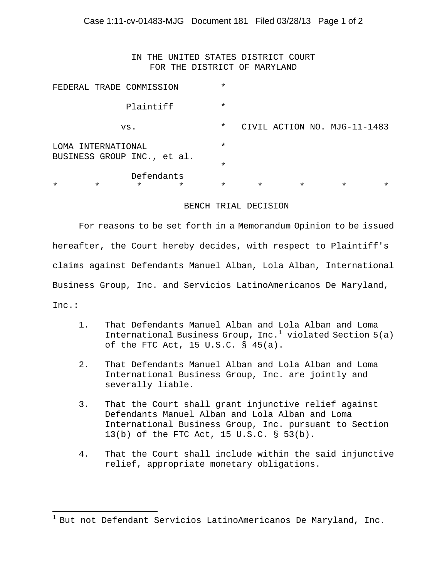IN THE UNITED STATES DISTRICT COURT FOR THE DISTRICT OF MARYLAND

| $\star$                                               | $\star$ | $\star$                  | $\star$ | $\star$  | $\star$ | $\star$ | $\star$                      | * |
|-------------------------------------------------------|---------|--------------------------|---------|----------|---------|---------|------------------------------|---|
|                                                       |         | Defendants               |         | $\star$  |         |         |                              |   |
| INTERNATIONAL<br>T OMA<br>BUSINESS GROUP INC., et al. |         |                          | $\star$ |          |         |         |                              |   |
|                                                       |         | VS.                      |         | $^\star$ |         |         | CIVIL ACTION NO. MJG-11-1483 |   |
|                                                       |         | Plaintiff                |         | $\star$  |         |         |                              |   |
|                                                       |         | FEDERAL TRADE COMMISSION |         | $\star$  |         |         |                              |   |

## BENCH TRIAL DECISION

For reasons to be set forth in a Memorandum Opinion to be issued hereafter, the Court hereby decides, with respect to Plaintiff's claims against Defendants Manuel Alban, Lola Alban, International Business Group, Inc. and Servicios LatinoAmericanos De Maryland, Inc.:

- 1. That Defendants Manuel Alban and Lola Alban and Loma International Business Group, Inc. $^1$  violated Section 5(a) of the FTC Act, 15 U.S.C. § 45(a).
- 2. That Defendants Manuel Alban and Lola Alban and Loma International Business Group, Inc. are jointly and severally liable.
- 3. That the Court shall grant injunctive relief against Defendants Manuel Alban and Lola Alban and Loma International Business Group, Inc. pursuant to Section 13(b) of the FTC Act, 15 U.S.C. § 53(b).
- 4. That the Court shall include within the said injunctive relief, appropriate monetary obligations.

1

 $1$  But not Defendant Servicios LatinoAmericanos De Maryland, Inc.